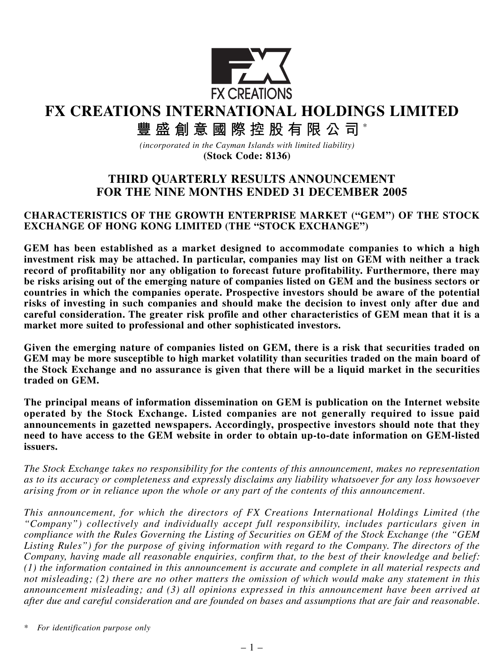

**FX CREATIONS INTERNATIONAL HOLDINGS LIMITED**

# 豐盛創意國際控股有限公司\*

*(incorporated in the Cayman Islands with limited liability)* **(Stock Code: 8136)**

# **THIRD QUARTERLY RESULTS ANNOUNCEMENT FOR THE NINE MONTHS ENDED 31 DECEMBER 2005**

## **CHARACTERISTICS OF THE GROWTH ENTERPRISE MARKET ("GEM") OF THE STOCK EXCHANGE OF HONG KONG LIMITED (THE "STOCK EXCHANGE")**

**GEM has been established as a market designed to accommodate companies to which a high investment risk may be attached. In particular, companies may list on GEM with neither a track record of profitability nor any obligation to forecast future profitability. Furthermore, there may be risks arising out of the emerging nature of companies listed on GEM and the business sectors or countries in which the companies operate. Prospective investors should be aware of the potential risks of investing in such companies and should make the decision to invest only after due and careful consideration. The greater risk profile and other characteristics of GEM mean that it is a market more suited to professional and other sophisticated investors.**

**Given the emerging nature of companies listed on GEM, there is a risk that securities traded on GEM may be more susceptible to high market volatility than securities traded on the main board of the Stock Exchange and no assurance is given that there will be a liquid market in the securities traded on GEM.**

**The principal means of information dissemination on GEM is publication on the Internet website operated by the Stock Exchange. Listed companies are not generally required to issue paid announcements in gazetted newspapers. Accordingly, prospective investors should note that they need to have access to the GEM website in order to obtain up-to-date information on GEM-listed issuers.**

*The Stock Exchange takes no responsibility for the contents of this announcement, makes no representation as to its accuracy or completeness and expressly disclaims any liability whatsoever for any loss howsoever arising from or in reliance upon the whole or any part of the contents of this announcement.*

*This announcement, for which the directors of FX Creations International Holdings Limited (the "Company") collectively and individually accept full responsibility, includes particulars given in compliance with the Rules Governing the Listing of Securities on GEM of the Stock Exchange (the "GEM Listing Rules") for the purpose of giving information with regard to the Company. The directors of the Company, having made all reasonable enquiries, confirm that, to the best of their knowledge and belief: (1) the information contained in this announcement is accurate and complete in all material respects and not misleading; (2) there are no other matters the omission of which would make any statement in this announcement misleading; and (3) all opinions expressed in this announcement have been arrived at after due and careful consideration and are founded on bases and assumptions that are fair and reasonable.*

*\* For identification purpose only*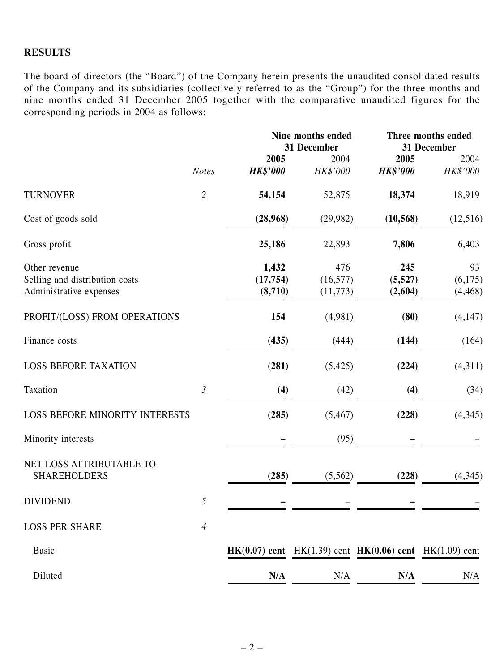## **RESULTS**

The board of directors (the "Board") of the Company herein presents the unaudited consolidated results of the Company and its subsidiaries (collectively referred to as the "Group") for the three months and nine months ended 31 December 2005 together with the comparative unaudited figures for the corresponding periods in 2004 as follows:

|                                                                            |                          | Nine months ended<br>31 December |                               | Three months ended<br>31 December                               |                           |
|----------------------------------------------------------------------------|--------------------------|----------------------------------|-------------------------------|-----------------------------------------------------------------|---------------------------|
|                                                                            |                          | 2005                             | 2004                          | 2005                                                            | 2004                      |
|                                                                            | <b>Notes</b>             | <b>HK\$'000</b>                  | HK\$'000                      | <b>HK\$'000</b>                                                 | HK\$'000                  |
| <b>TURNOVER</b>                                                            | $\overline{2}$           | 54,154                           | 52,875                        | 18,374                                                          | 18,919                    |
| Cost of goods sold                                                         |                          | (28,968)                         | (29,982)                      | (10, 568)                                                       | (12,516)                  |
| Gross profit                                                               |                          | 25,186                           | 22,893                        | 7,806                                                           | 6,403                     |
| Other revenue<br>Selling and distribution costs<br>Administrative expenses |                          | 1,432<br>(17, 754)<br>(8,710)    | 476<br>(16, 577)<br>(11, 773) | 245<br>(5,527)<br>(2,604)                                       | 93<br>(6,175)<br>(4, 468) |
| PROFIT/(LOSS) FROM OPERATIONS                                              |                          | 154                              | (4,981)                       | (80)                                                            | (4,147)                   |
| Finance costs                                                              |                          | (435)                            | (444)                         | (144)                                                           | (164)                     |
| <b>LOSS BEFORE TAXATION</b>                                                |                          | (281)                            | (5, 425)                      | (224)                                                           | (4,311)                   |
| Taxation                                                                   | $\mathfrak{Z}$           | (4)                              | (42)                          | (4)                                                             | (34)                      |
| <b>LOSS BEFORE MINORITY INTERESTS</b>                                      |                          | (285)                            | (5, 467)                      | (228)                                                           | (4,345)                   |
| Minority interests                                                         |                          |                                  | (95)                          |                                                                 |                           |
| NET LOSS ATTRIBUTABLE TO<br><b>SHAREHOLDERS</b>                            |                          | (285)                            | (5, 562)                      | (228)                                                           | (4,345)                   |
| <b>DIVIDEND</b>                                                            | 5                        |                                  |                               |                                                                 |                           |
| <b>LOSS PER SHARE</b>                                                      | $\overline{\mathcal{A}}$ |                                  |                               |                                                                 |                           |
| <b>Basic</b>                                                               |                          |                                  |                               | $HK(0.07)$ cent $HK(1.39)$ cent $HK(0.06)$ cent $HK(1.09)$ cent |                           |
| Diluted                                                                    |                          | N/A                              | N/A                           | N/A                                                             | N/A                       |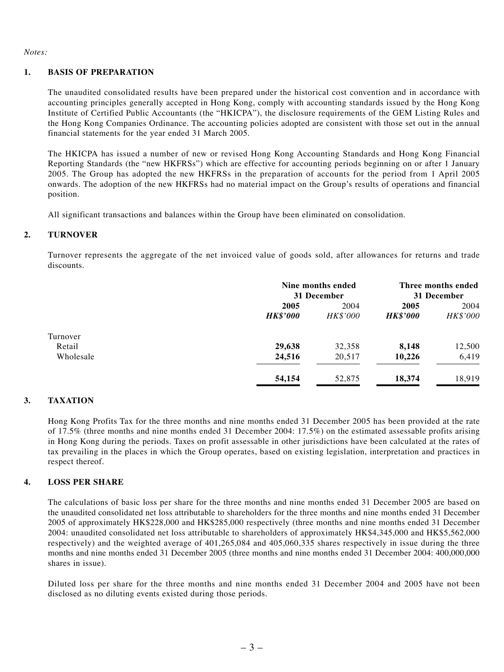#### *Notes:*

#### **1. BASIS OF PREPARATION**

The unaudited consolidated results have been prepared under the historical cost convention and in accordance with accounting principles generally accepted in Hong Kong, comply with accounting standards issued by the Hong Kong Institute of Certified Public Accountants (the "HKICPA"), the disclosure requirements of the GEM Listing Rules and the Hong Kong Companies Ordinance. The accounting policies adopted are consistent with those set out in the annual financial statements for the year ended 31 March 2005.

The HKICPA has issued a number of new or revised Hong Kong Accounting Standards and Hong Kong Financial Reporting Standards (the "new HKFRSs") which are effective for accounting periods beginning on or after 1 January 2005. The Group has adopted the new HKFRSs in the preparation of accounts for the period from 1 April 2005 onwards. The adoption of the new HKFRSs had no material impact on the Group's results of operations and financial position.

All significant transactions and balances within the Group have been eliminated on consolidation.

#### **2. TURNOVER**

Turnover represents the aggregate of the net invoiced value of goods sold, after allowances for returns and trade discounts.

|           |                         | Nine months ended<br>31 December |                                | Three months ended<br>31 December |  |
|-----------|-------------------------|----------------------------------|--------------------------------|-----------------------------------|--|
|           | 2005<br><b>HK\$'000</b> | 2004<br><b>HK\$'000</b>          | 2005<br><i><b>HK\$'000</b></i> | 2004<br>HK\$'000                  |  |
| Turnover  |                         |                                  |                                |                                   |  |
| Retail    | 29,638                  | 32,358                           | 8,148                          | 12,500                            |  |
| Wholesale | 24,516                  | 20,517                           | 10,226                         | 6,419                             |  |
|           | 54,154                  | 52,875                           | 18,374                         | 18.919                            |  |

#### **3. TAXATION**

Hong Kong Profits Tax for the three months and nine months ended 31 December 2005 has been provided at the rate of 17.5% (three months and nine months ended 31 December 2004: 17.5%) on the estimated assessable profits arising in Hong Kong during the periods. Taxes on profit assessable in other jurisdictions have been calculated at the rates of tax prevailing in the places in which the Group operates, based on existing legislation, interpretation and practices in respect thereof.

#### **4. LOSS PER SHARE**

The calculations of basic loss per share for the three months and nine months ended 31 December 2005 are based on the unaudited consolidated net loss attributable to shareholders for the three months and nine months ended 31 December 2005 of approximately HK\$228,000 and HK\$285,000 respectively (three months and nine months ended 31 December 2004: unaudited consolidated net loss attributable to shareholders of approximately HK\$4,345,000 and HK\$5,562,000 respectively) and the weighted average of 401,265,084 and 405,060,335 shares respectively in issue during the three months and nine months ended 31 December 2005 (three months and nine months ended 31 December 2004: 400,000,000 shares in issue).

Diluted loss per share for the three months and nine months ended 31 December 2004 and 2005 have not been disclosed as no diluting events existed during those periods.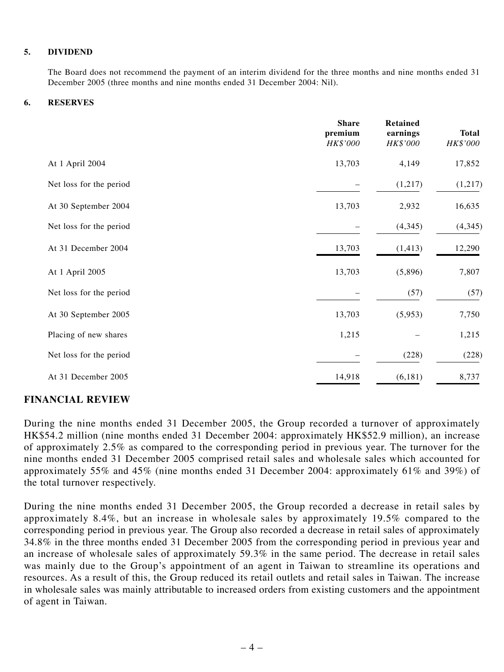#### **5. DIVIDEND**

The Board does not recommend the payment of an interim dividend for the three months and nine months ended 31 December 2005 (three months and nine months ended 31 December 2004: Nil).

#### **6. RESERVES**

|                         | <b>Share</b><br>premium<br>HK\$'000 | <b>Retained</b><br>earnings<br>HK\$'000 | <b>Total</b><br><b>HK\$'000</b> |
|-------------------------|-------------------------------------|-----------------------------------------|---------------------------------|
| At 1 April 2004         | 13,703                              | 4,149                                   | 17,852                          |
| Net loss for the period |                                     | (1,217)                                 | (1,217)                         |
| At 30 September 2004    | 13,703                              | 2,932                                   | 16,635                          |
| Net loss for the period |                                     | (4,345)                                 | (4, 345)                        |
| At 31 December 2004     | 13,703                              | (1, 413)                                | 12,290                          |
| At 1 April 2005         | 13,703                              | (5,896)                                 | 7,807                           |
| Net loss for the period |                                     | (57)                                    | (57)                            |
| At 30 September 2005    | 13,703                              | (5,953)                                 | 7,750                           |
| Placing of new shares   | 1,215                               |                                         | 1,215                           |
| Net loss for the period |                                     | (228)                                   | (228)                           |
| At 31 December 2005     | 14,918                              | (6,181)                                 | 8,737                           |

## **FINANCIAL REVIEW**

During the nine months ended 31 December 2005, the Group recorded a turnover of approximately HK\$54.2 million (nine months ended 31 December 2004: approximately HK\$52.9 million), an increase of approximately 2.5% as compared to the corresponding period in previous year. The turnover for the nine months ended 31 December 2005 comprised retail sales and wholesale sales which accounted for approximately 55% and 45% (nine months ended 31 December 2004: approximately 61% and 39%) of the total turnover respectively.

During the nine months ended 31 December 2005, the Group recorded a decrease in retail sales by approximately 8.4%, but an increase in wholesale sales by approximately 19.5% compared to the corresponding period in previous year. The Group also recorded a decrease in retail sales of approximately 34.8% in the three months ended 31 December 2005 from the corresponding period in previous year and an increase of wholesale sales of approximately 59.3% in the same period. The decrease in retail sales was mainly due to the Group's appointment of an agent in Taiwan to streamline its operations and resources. As a result of this, the Group reduced its retail outlets and retail sales in Taiwan. The increase in wholesale sales was mainly attributable to increased orders from existing customers and the appointment of agent in Taiwan.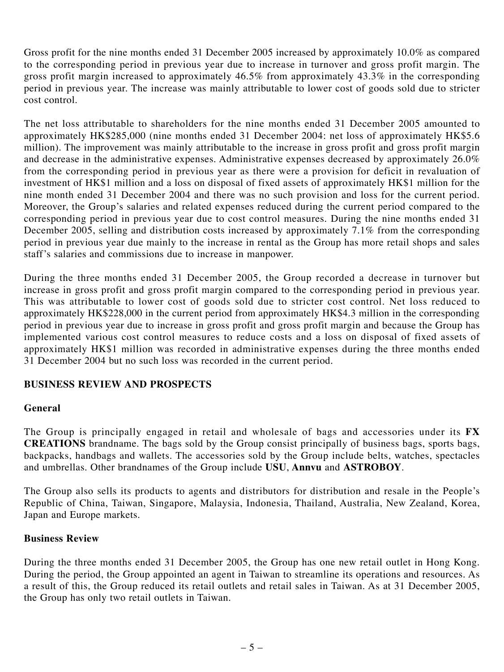Gross profit for the nine months ended 31 December 2005 increased by approximately 10.0% as compared to the corresponding period in previous year due to increase in turnover and gross profit margin. The gross profit margin increased to approximately 46.5% from approximately 43.3% in the corresponding period in previous year. The increase was mainly attributable to lower cost of goods sold due to stricter cost control.

The net loss attributable to shareholders for the nine months ended 31 December 2005 amounted to approximately HK\$285,000 (nine months ended 31 December 2004: net loss of approximately HK\$5.6 million). The improvement was mainly attributable to the increase in gross profit and gross profit margin and decrease in the administrative expenses. Administrative expenses decreased by approximately 26.0% from the corresponding period in previous year as there were a provision for deficit in revaluation of investment of HK\$1 million and a loss on disposal of fixed assets of approximately HK\$1 million for the nine month ended 31 December 2004 and there was no such provision and loss for the current period. Moreover, the Group's salaries and related expenses reduced during the current period compared to the corresponding period in previous year due to cost control measures. During the nine months ended 31 December 2005, selling and distribution costs increased by approximately  $7.1\%$  from the corresponding period in previous year due mainly to the increase in rental as the Group has more retail shops and sales staff's salaries and commissions due to increase in manpower.

During the three months ended 31 December 2005, the Group recorded a decrease in turnover but increase in gross profit and gross profit margin compared to the corresponding period in previous year. This was attributable to lower cost of goods sold due to stricter cost control. Net loss reduced to approximately HK\$228,000 in the current period from approximately HK\$4.3 million in the corresponding period in previous year due to increase in gross profit and gross profit margin and because the Group has implemented various cost control measures to reduce costs and a loss on disposal of fixed assets of approximately HK\$1 million was recorded in administrative expenses during the three months ended 31 December 2004 but no such loss was recorded in the current period.

# **BUSINESS REVIEW AND PROSPECTS**

## **General**

The Group is principally engaged in retail and wholesale of bags and accessories under its **FX CREATIONS** brandname. The bags sold by the Group consist principally of business bags, sports bags, backpacks, handbags and wallets. The accessories sold by the Group include belts, watches, spectacles and umbrellas. Other brandnames of the Group include **USU**, **Annvu** and **ASTROBOY**.

The Group also sells its products to agents and distributors for distribution and resale in the People's Republic of China, Taiwan, Singapore, Malaysia, Indonesia, Thailand, Australia, New Zealand, Korea, Japan and Europe markets.

## **Business Review**

During the three months ended 31 December 2005, the Group has one new retail outlet in Hong Kong. During the period, the Group appointed an agent in Taiwan to streamline its operations and resources. As a result of this, the Group reduced its retail outlets and retail sales in Taiwan. As at 31 December 2005, the Group has only two retail outlets in Taiwan.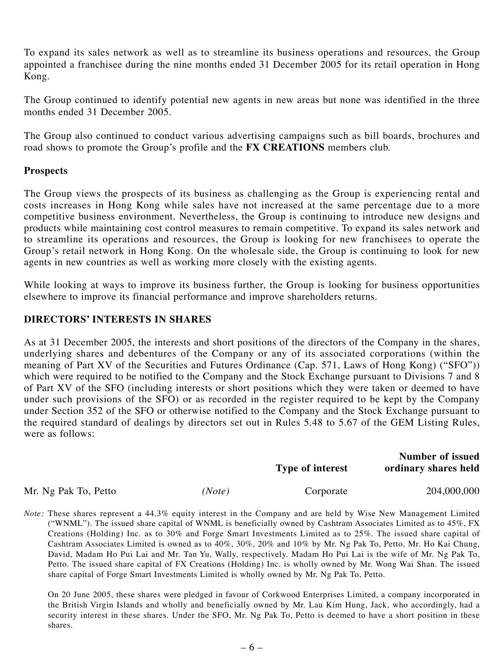To expand its sales network as well as to streamline its business operations and resources, the Group appointed a franchisee during the nine months ended 31 December 2005 for its retail operation in Hong Kong.

The Group continued to identify potential new agents in new areas but none was identified in the three months ended 31 December 2005.

The Group also continued to conduct various advertising campaigns such as bill boards, brochures and road shows to promote the Group's profile and the **FX CREATIONS** members club.

## **Prospects**

The Group views the prospects of its business as challenging as the Group is experiencing rental and costs increases in Hong Kong while sales have not increased at the same percentage due to a more competitive business environment. Nevertheless, the Group is continuing to introduce new designs and products while maintaining cost control measures to remain competitive. To expand its sales network and to streamline its operations and resources, the Group is looking for new franchisees to operate the Group's retail network in Hong Kong. On the wholesale side, the Group is continuing to look for new agents in new countries as well as working more closely with the existing agents.

While looking at ways to improve its business further, the Group is looking for business opportunities elsewhere to improve its financial performance and improve shareholders returns.

## **DIRECTORS' INTERESTS IN SHARES**

As at 31 December 2005, the interests and short positions of the directors of the Company in the shares, underlying shares and debentures of the Company or any of its associated corporations (within the meaning of Part XV of the Securities and Futures Ordinance (Cap. 571, Laws of Hong Kong) ("SFO")) which were required to be notified to the Company and the Stock Exchange pursuant to Divisions 7 and 8 of Part XV of the SFO (including interests or short positions which they were taken or deemed to have under such provisions of the SFO) or as recorded in the register required to be kept by the Company under Section 352 of the SFO or otherwise notified to the Company and the Stock Exchange pursuant to the required standard of dealings by directors set out in Rules 5.48 to 5.67 of the GEM Listing Rules, were as follows:

|                      |        | <b>Type of interest</b> | <b>Number of issued</b><br>ordinary shares held |
|----------------------|--------|-------------------------|-------------------------------------------------|
| Mr. Ng Pak To, Petto | (Note) | Corporate               | 204,000,000                                     |

*Note:* These shares represent a 44.3% equity interest in the Company and are held by Wise New Management Limited ("WNML"). The issued share capital of WNML is beneficially owned by Cashtram Associates Limited as to 45%, FX Creations (Holding) Inc. as to 30% and Forge Smart Investments Limited as to 25%. The issued share capital of Cashtram Associates Limited is owned as to 40%, 30%, 20% and 10% by Mr. Ng Pak To, Petto, Mr. Ho Kai Chung, David, Madam Ho Pui Lai and Mr. Tan Yu, Wally, respectively. Madam Ho Pui Lai is the wife of Mr. Ng Pak To, Petto. The issued share capital of FX Creations (Holding) Inc. is wholly owned by Mr. Wong Wai Shan. The issued share capital of Forge Smart Investments Limited is wholly owned by Mr. Ng Pak To, Petto.

On 20 June 2005, these shares were pledged in favour of Corkwood Enterprises Limited, a company incorporated in the British Virgin Islands and wholly and beneficially owned by Mr. Lau Kim Hung, Jack, who accordingly, had a security interest in these shares. Under the SFO, Mr. Ng Pak To, Petto is deemed to have a short position in these shares.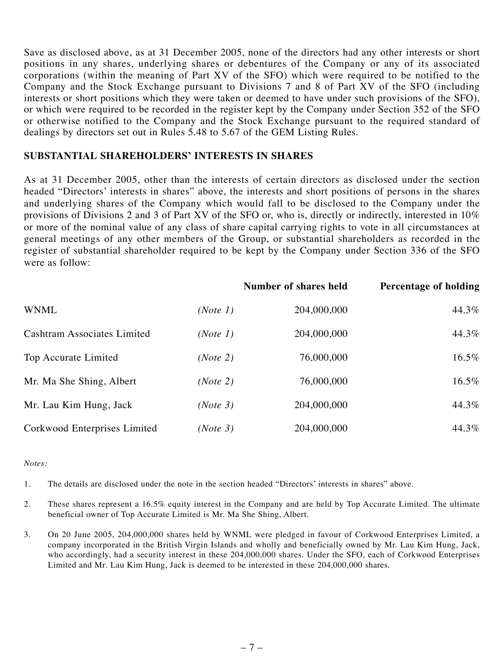Save as disclosed above, as at 31 December 2005, none of the directors had any other interests or short positions in any shares, underlying shares or debentures of the Company or any of its associated corporations (within the meaning of Part XV of the SFO) which were required to be notified to the Company and the Stock Exchange pursuant to Divisions 7 and 8 of Part XV of the SFO (including interests or short positions which they were taken or deemed to have under such provisions of the SFO), or which were required to be recorded in the register kept by the Company under Section 352 of the SFO or otherwise notified to the Company and the Stock Exchange pursuant to the required standard of dealings by directors set out in Rules 5.48 to 5.67 of the GEM Listing Rules.

## **SUBSTANTIAL SHAREHOLDERS' INTERESTS IN SHARES**

As at 31 December 2005, other than the interests of certain directors as disclosed under the section headed "Directors' interests in shares" above, the interests and short positions of persons in the shares and underlying shares of the Company which would fall to be disclosed to the Company under the provisions of Divisions 2 and 3 of Part XV of the SFO or, who is, directly or indirectly, interested in 10% or more of the nominal value of any class of share capital carrying rights to vote in all circumstances at general meetings of any other members of the Group, or substantial shareholders as recorded in the register of substantial shareholder required to be kept by the Company under Section 336 of the SFO were as follow:

|                                    |          | <b>Number of shares held</b> | Percentage of holding |
|------------------------------------|----------|------------------------------|-----------------------|
| <b>WNML</b>                        | (Note 1) | 204,000,000                  | 44.3%                 |
| <b>Cashtram Associates Limited</b> | (Note 1) | 204,000,000                  | 44.3%                 |
| Top Accurate Limited               | (Note 2) | 76,000,000                   | $16.5\%$              |
| Mr. Ma She Shing, Albert           | (Note 2) | 76,000,000                   | 16.5%                 |
| Mr. Lau Kim Hung, Jack             | (Note 3) | 204,000,000                  | 44.3%                 |
| Corkwood Enterprises Limited       | (Note 3) | 204,000,000                  | 44.3%                 |

#### *Notes:*

1. The details are disclosed under the note in the section headed "Directors' interests in shares" above.

- 2. These shares represent a 16.5% equity interest in the Company and are held by Top Accurate Limited. The ultimate beneficial owner of Top Accurate Limited is Mr. Ma She Shing, Albert.
- 3. On 20 June 2005, 204,000,000 shares held by WNML were pledged in favour of Corkwood Enterprises Limited, a company incorporated in the British Virgin Islands and wholly and beneficially owned by Mr. Lau Kim Hung, Jack, who accordingly, had a security interest in these 204,000,000 shares. Under the SFO, each of Corkwood Enterprises Limited and Mr. Lau Kim Hung, Jack is deemed to be interested in these 204,000,000 shares.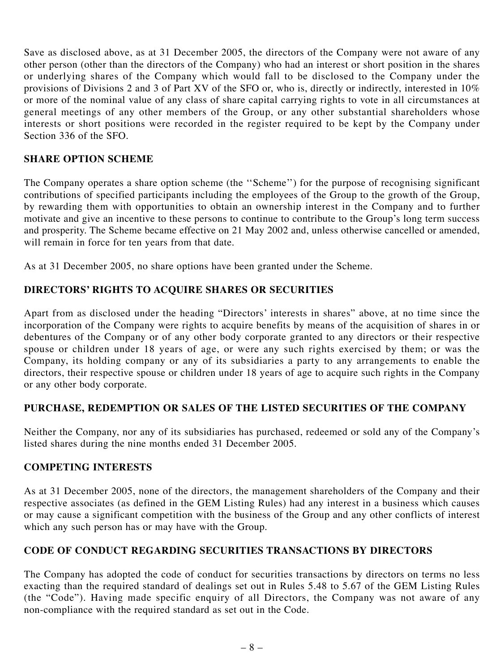Save as disclosed above, as at 31 December 2005, the directors of the Company were not aware of any other person (other than the directors of the Company) who had an interest or short position in the shares or underlying shares of the Company which would fall to be disclosed to the Company under the provisions of Divisions 2 and 3 of Part XV of the SFO or, who is, directly or indirectly, interested in 10% or more of the nominal value of any class of share capital carrying rights to vote in all circumstances at general meetings of any other members of the Group, or any other substantial shareholders whose interests or short positions were recorded in the register required to be kept by the Company under Section 336 of the SFO.

# **SHARE OPTION SCHEME**

The Company operates a share option scheme (the ''Scheme'') for the purpose of recognising significant contributions of specified participants including the employees of the Group to the growth of the Group, by rewarding them with opportunities to obtain an ownership interest in the Company and to further motivate and give an incentive to these persons to continue to contribute to the Group's long term success and prosperity. The Scheme became effective on 21 May 2002 and, unless otherwise cancelled or amended, will remain in force for ten years from that date.

As at 31 December 2005, no share options have been granted under the Scheme.

# **DIRECTORS' RIGHTS TO ACQUIRE SHARES OR SECURITIES**

Apart from as disclosed under the heading "Directors' interests in shares" above, at no time since the incorporation of the Company were rights to acquire benefits by means of the acquisition of shares in or debentures of the Company or of any other body corporate granted to any directors or their respective spouse or children under 18 years of age, or were any such rights exercised by them; or was the Company, its holding company or any of its subsidiaries a party to any arrangements to enable the directors, their respective spouse or children under 18 years of age to acquire such rights in the Company or any other body corporate.

# **PURCHASE, REDEMPTION OR SALES OF THE LISTED SECURITIES OF THE COMPANY**

Neither the Company, nor any of its subsidiaries has purchased, redeemed or sold any of the Company's listed shares during the nine months ended 31 December 2005.

# **COMPETING INTERESTS**

As at 31 December 2005, none of the directors, the management shareholders of the Company and their respective associates (as defined in the GEM Listing Rules) had any interest in a business which causes or may cause a significant competition with the business of the Group and any other conflicts of interest which any such person has or may have with the Group.

# **CODE OF CONDUCT REGARDING SECURITIES TRANSACTIONS BY DIRECTORS**

The Company has adopted the code of conduct for securities transactions by directors on terms no less exacting than the required standard of dealings set out in Rules 5.48 to 5.67 of the GEM Listing Rules (the "Code"). Having made specific enquiry of all Directors, the Company was not aware of any non-compliance with the required standard as set out in the Code.